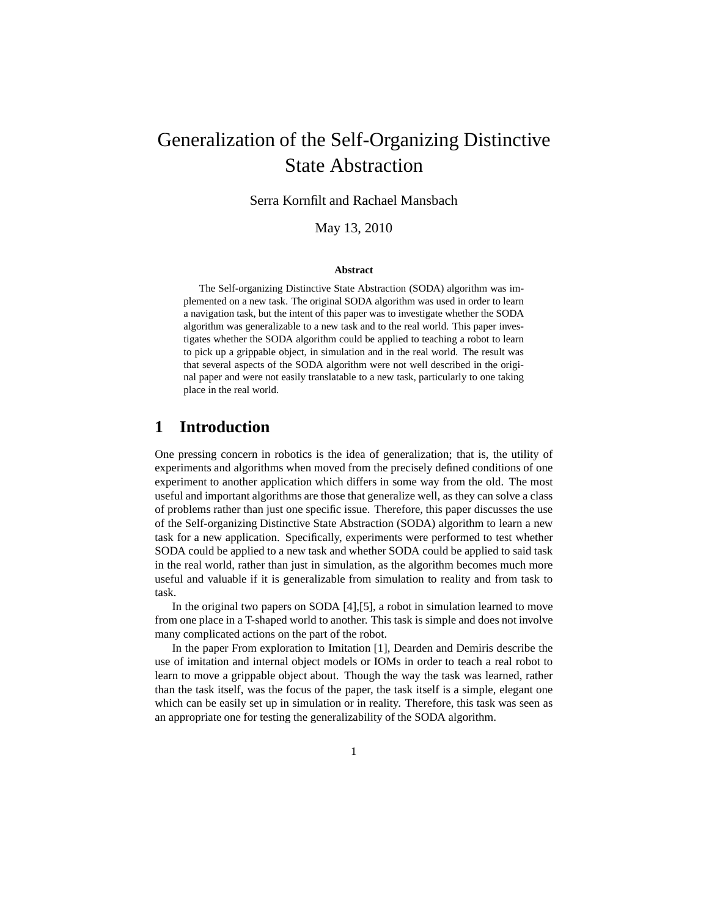# Generalization of the Self-Organizing Distinctive State Abstraction

Serra Kornfilt and Rachael Mansbach

May 13, 2010

#### **Abstract**

The Self-organizing Distinctive State Abstraction (SODA) algorithm was implemented on a new task. The original SODA algorithm was used in order to learn a navigation task, but the intent of this paper was to investigate whether the SODA algorithm was generalizable to a new task and to the real world. This paper investigates whether the SODA algorithm could be applied to teaching a robot to learn to pick up a grippable object, in simulation and in the real world. The result was that several aspects of the SODA algorithm were not well described in the original paper and were not easily translatable to a new task, particularly to one taking place in the real world.

# **1 Introduction**

One pressing concern in robotics is the idea of generalization; that is, the utility of experiments and algorithms when moved from the precisely defined conditions of one experiment to another application which differs in some way from the old. The most useful and important algorithms are those that generalize well, as they can solve a class of problems rather than just one specific issue. Therefore, this paper discusses the use of the Self-organizing Distinctive State Abstraction (SODA) algorithm to learn a new task for a new application. Specifically, experiments were performed to test whether SODA could be applied to a new task and whether SODA could be applied to said task in the real world, rather than just in simulation, as the algorithm becomes much more useful and valuable if it is generalizable from simulation to reality and from task to task.

In the original two papers on SODA [4],[5], a robot in simulation learned to move from one place in a T-shaped world to another. This task is simple and does not involve many complicated actions on the part of the robot.

In the paper From exploration to Imitation [1], Dearden and Demiris describe the use of imitation and internal object models or IOMs in order to teach a real robot to learn to move a grippable object about. Though the way the task was learned, rather than the task itself, was the focus of the paper, the task itself is a simple, elegant one which can be easily set up in simulation or in reality. Therefore, this task was seen as an appropriate one for testing the generalizability of the SODA algorithm.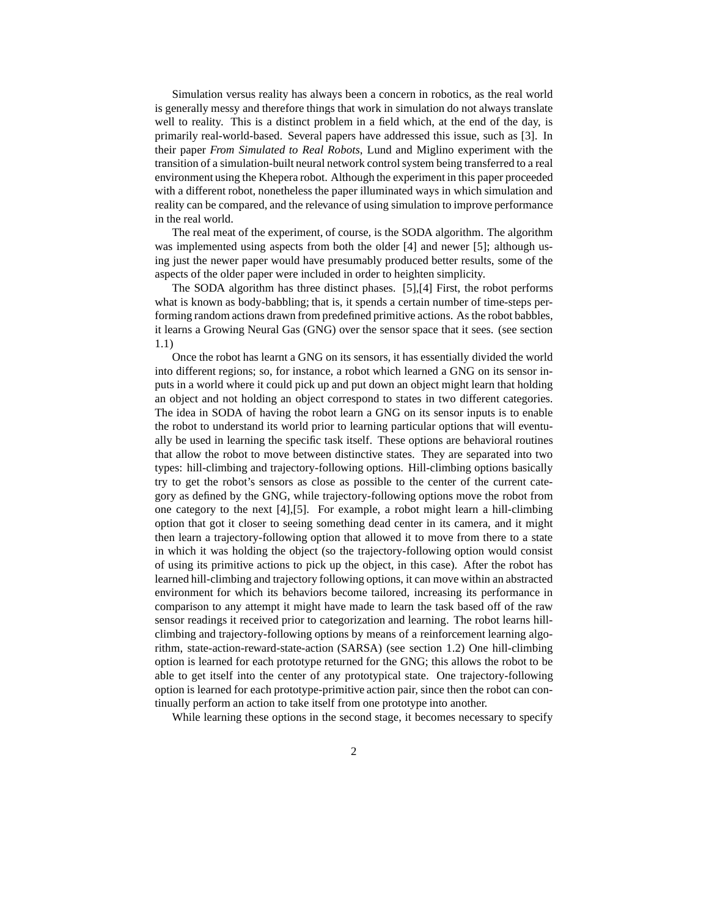Simulation versus reality has always been a concern in robotics, as the real world is generally messy and therefore things that work in simulation do not always translate well to reality. This is a distinct problem in a field which, at the end of the day, is primarily real-world-based. Several papers have addressed this issue, such as [3]. In their paper *From Simulated to Real Robots*, Lund and Miglino experiment with the transition of a simulation-built neural network control system being transferred to a real environment using the Khepera robot. Although the experiment in this paper proceeded with a different robot, nonetheless the paper illuminated ways in which simulation and reality can be compared, and the relevance of using simulation to improve performance in the real world.

The real meat of the experiment, of course, is the SODA algorithm. The algorithm was implemented using aspects from both the older [4] and newer [5]; although using just the newer paper would have presumably produced better results, some of the aspects of the older paper were included in order to heighten simplicity.

The SODA algorithm has three distinct phases. [5],[4] First, the robot performs what is known as body-babbling; that is, it spends a certain number of time-steps performing random actions drawn from predefined primitive actions. As the robot babbles, it learns a Growing Neural Gas (GNG) over the sensor space that it sees. (see section 1.1)

Once the robot has learnt a GNG on its sensors, it has essentially divided the world into different regions; so, for instance, a robot which learned a GNG on its sensor inputs in a world where it could pick up and put down an object might learn that holding an object and not holding an object correspond to states in two different categories. The idea in SODA of having the robot learn a GNG on its sensor inputs is to enable the robot to understand its world prior to learning particular options that will eventually be used in learning the specific task itself. These options are behavioral routines that allow the robot to move between distinctive states. They are separated into two types: hill-climbing and trajectory-following options. Hill-climbing options basically try to get the robot's sensors as close as possible to the center of the current category as defined by the GNG, while trajectory-following options move the robot from one category to the next [4],[5]. For example, a robot might learn a hill-climbing option that got it closer to seeing something dead center in its camera, and it might then learn a trajectory-following option that allowed it to move from there to a state in which it was holding the object (so the trajectory-following option would consist of using its primitive actions to pick up the object, in this case). After the robot has learned hill-climbing and trajectory following options, it can move within an abstracted environment for which its behaviors become tailored, increasing its performance in comparison to any attempt it might have made to learn the task based off of the raw sensor readings it received prior to categorization and learning. The robot learns hillclimbing and trajectory-following options by means of a reinforcement learning algorithm, state-action-reward-state-action (SARSA) (see section 1.2) One hill-climbing option is learned for each prototype returned for the GNG; this allows the robot to be able to get itself into the center of any prototypical state. One trajectory-following option is learned for each prototype-primitive action pair, since then the robot can continually perform an action to take itself from one prototype into another.

While learning these options in the second stage, it becomes necessary to specify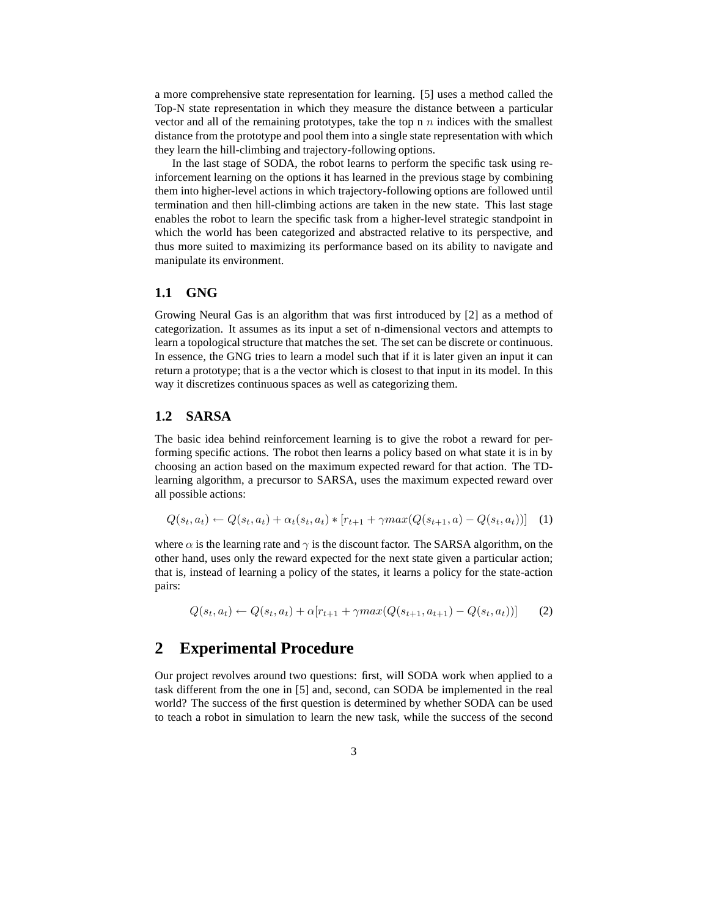a more comprehensive state representation for learning. [5] uses a method called the Top-N state representation in which they measure the distance between a particular vector and all of the remaining prototypes, take the top n  $n$  indices with the smallest distance from the prototype and pool them into a single state representation with which they learn the hill-climbing and trajectory-following options.

In the last stage of SODA, the robot learns to perform the specific task using reinforcement learning on the options it has learned in the previous stage by combining them into higher-level actions in which trajectory-following options are followed until termination and then hill-climbing actions are taken in the new state. This last stage enables the robot to learn the specific task from a higher-level strategic standpoint in which the world has been categorized and abstracted relative to its perspective, and thus more suited to maximizing its performance based on its ability to navigate and manipulate its environment.

#### **1.1 GNG**

Growing Neural Gas is an algorithm that was first introduced by [2] as a method of categorization. It assumes as its input a set of n-dimensional vectors and attempts to learn a topological structure that matches the set. The set can be discrete or continuous. In essence, the GNG tries to learn a model such that if it is later given an input it can return a prototype; that is a the vector which is closest to that input in its model. In this way it discretizes continuous spaces as well as categorizing them.

### **1.2 SARSA**

The basic idea behind reinforcement learning is to give the robot a reward for performing specific actions. The robot then learns a policy based on what state it is in by choosing an action based on the maximum expected reward for that action. The TDlearning algorithm, a precursor to SARSA, uses the maximum expected reward over all possible actions:

$$
Q(s_t, a_t) \leftarrow Q(s_t, a_t) + \alpha_t(s_t, a_t) * [r_{t+1} + \gamma max(Q(s_{t+1}, a) - Q(s_t, a_t))]
$$
 (1)

where  $\alpha$  is the learning rate and  $\gamma$  is the discount factor. The SARSA algorithm, on the other hand, uses only the reward expected for the next state given a particular action; that is, instead of learning a policy of the states, it learns a policy for the state-action pairs:

$$
Q(s_t, a_t) \leftarrow Q(s_t, a_t) + \alpha[r_{t+1} + \gamma max(Q(s_{t+1}, a_{t+1}) - Q(s_t, a_t))] \tag{2}
$$

## **2 Experimental Procedure**

Our project revolves around two questions: first, will SODA work when applied to a task different from the one in [5] and, second, can SODA be implemented in the real world? The success of the first question is determined by whether SODA can be used to teach a robot in simulation to learn the new task, while the success of the second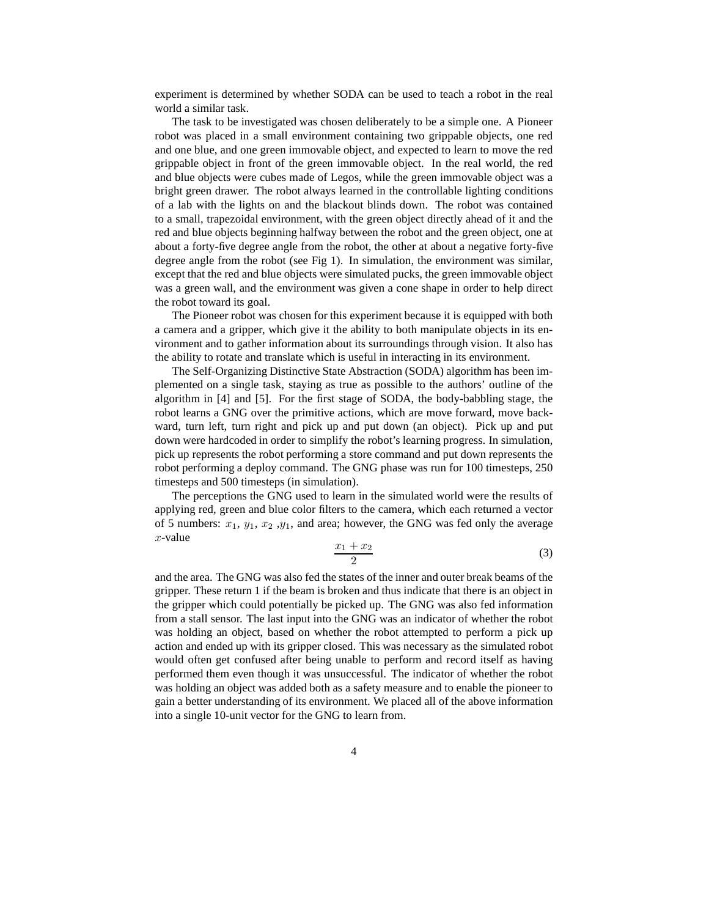experiment is determined by whether SODA can be used to teach a robot in the real world a similar task.

The task to be investigated was chosen deliberately to be a simple one. A Pioneer robot was placed in a small environment containing two grippable objects, one red and one blue, and one green immovable object, and expected to learn to move the red grippable object in front of the green immovable object. In the real world, the red and blue objects were cubes made of Legos, while the green immovable object was a bright green drawer. The robot always learned in the controllable lighting conditions of a lab with the lights on and the blackout blinds down. The robot was contained to a small, trapezoidal environment, with the green object directly ahead of it and the red and blue objects beginning halfway between the robot and the green object, one at about a forty-five degree angle from the robot, the other at about a negative forty-five degree angle from the robot (see Fig 1). In simulation, the environment was similar, except that the red and blue objects were simulated pucks, the green immovable object was a green wall, and the environment was given a cone shape in order to help direct the robot toward its goal.

The Pioneer robot was chosen for this experiment because it is equipped with both a camera and a gripper, which give it the ability to both manipulate objects in its environment and to gather information about its surroundings through vision. It also has the ability to rotate and translate which is useful in interacting in its environment.

The Self-Organizing Distinctive State Abstraction (SODA) algorithm has been implemented on a single task, staying as true as possible to the authors' outline of the algorithm in [4] and [5]. For the first stage of SODA, the body-babbling stage, the robot learns a GNG over the primitive actions, which are move forward, move backward, turn left, turn right and pick up and put down (an object). Pick up and put down were hardcoded in order to simplify the robot's learning progress. In simulation, pick up represents the robot performing a store command and put down represents the robot performing a deploy command. The GNG phase was run for 100 timesteps, 250 timesteps and 500 timesteps (in simulation).

The perceptions the GNG used to learn in the simulated world were the results of applying red, green and blue color filters to the camera, which each returned a vector of 5 numbers:  $x_1, y_1, x_2, y_1$ , and area; however, the GNG was fed only the average  $x$ -value

$$
\frac{x_1 + x_2}{2} \tag{3}
$$

and the area. The GNG was also fed the states of the inner and outer break beams of the gripper. These return 1 if the beam is broken and thus indicate that there is an object in the gripper which could potentially be picked up. The GNG was also fed information from a stall sensor. The last input into the GNG was an indicator of whether the robot was holding an object, based on whether the robot attempted to perform a pick up action and ended up with its gripper closed. This was necessary as the simulated robot would often get confused after being unable to perform and record itself as having performed them even though it was unsuccessful. The indicator of whether the robot was holding an object was added both as a safety measure and to enable the pioneer to gain a better understanding of its environment. We placed all of the above information into a single 10-unit vector for the GNG to learn from.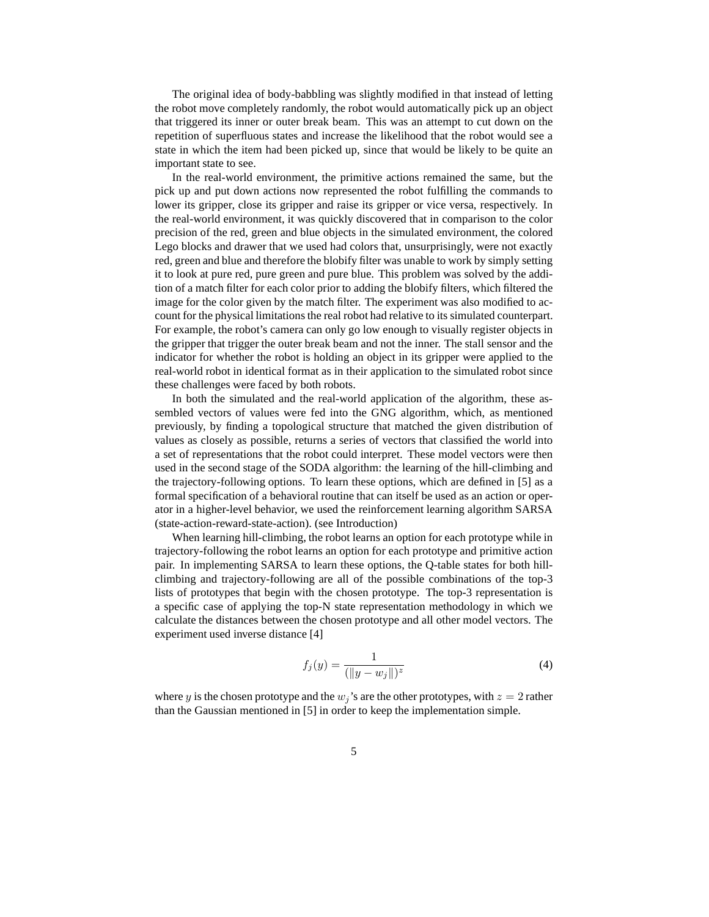The original idea of body-babbling was slightly modified in that instead of letting the robot move completely randomly, the robot would automatically pick up an object that triggered its inner or outer break beam. This was an attempt to cut down on the repetition of superfluous states and increase the likelihood that the robot would see a state in which the item had been picked up, since that would be likely to be quite an important state to see.

In the real-world environment, the primitive actions remained the same, but the pick up and put down actions now represented the robot fulfilling the commands to lower its gripper, close its gripper and raise its gripper or vice versa, respectively. In the real-world environment, it was quickly discovered that in comparison to the color precision of the red, green and blue objects in the simulated environment, the colored Lego blocks and drawer that we used had colors that, unsurprisingly, were not exactly red, green and blue and therefore the blobify filter was unable to work by simply setting it to look at pure red, pure green and pure blue. This problem was solved by the addition of a match filter for each color prior to adding the blobify filters, which filtered the image for the color given by the match filter. The experiment was also modified to account for the physical limitations the real robot had relative to its simulated counterpart. For example, the robot's camera can only go low enough to visually register objects in the gripper that trigger the outer break beam and not the inner. The stall sensor and the indicator for whether the robot is holding an object in its gripper were applied to the real-world robot in identical format as in their application to the simulated robot since these challenges were faced by both robots.

In both the simulated and the real-world application of the algorithm, these assembled vectors of values were fed into the GNG algorithm, which, as mentioned previously, by finding a topological structure that matched the given distribution of values as closely as possible, returns a series of vectors that classified the world into a set of representations that the robot could interpret. These model vectors were then used in the second stage of the SODA algorithm: the learning of the hill-climbing and the trajectory-following options. To learn these options, which are defined in [5] as a formal specification of a behavioral routine that can itself be used as an action or operator in a higher-level behavior, we used the reinforcement learning algorithm SARSA (state-action-reward-state-action). (see Introduction)

When learning hill-climbing, the robot learns an option for each prototype while in trajectory-following the robot learns an option for each prototype and primitive action pair. In implementing SARSA to learn these options, the Q-table states for both hillclimbing and trajectory-following are all of the possible combinations of the top-3 lists of prototypes that begin with the chosen prototype. The top-3 representation is a specific case of applying the top-N state representation methodology in which we calculate the distances between the chosen prototype and all other model vectors. The experiment used inverse distance [4]

$$
f_j(y) = \frac{1}{(\|y - w_j\|)^z}
$$
 (4)

where y is the chosen prototype and the  $w_j$ 's are the other prototypes, with  $z = 2$  rather than the Gaussian mentioned in [5] in order to keep the implementation simple.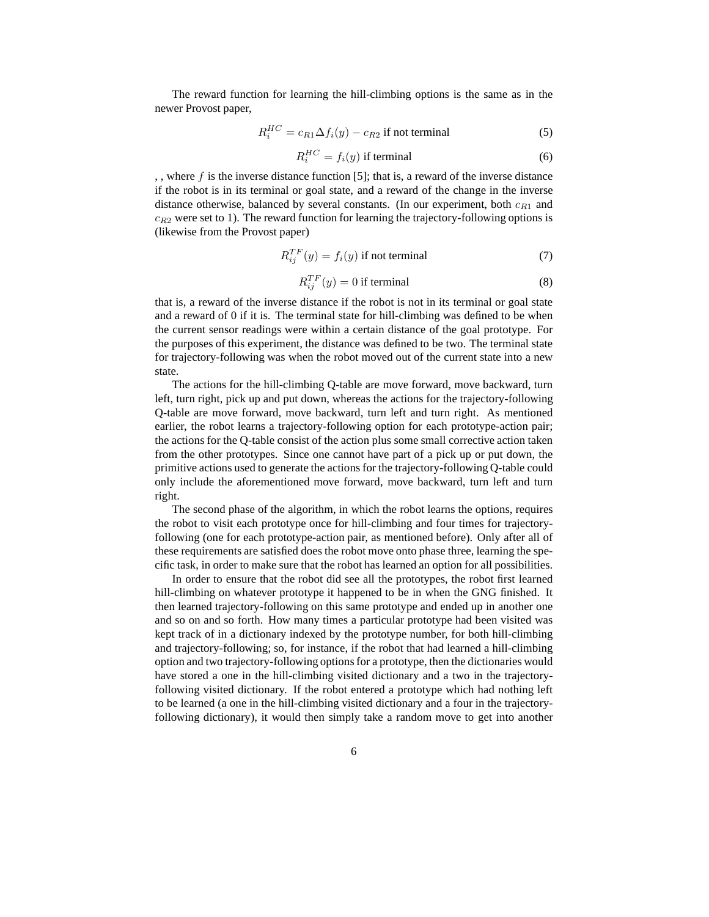The reward function for learning the hill-climbing options is the same as in the newer Provost paper,

$$
R_i^{HC} = c_{R1} \Delta f_i(y) - c_{R2} \text{ if not terminal}
$$
 (5)

$$
R_i^{HC} = f_i(y) \text{ if terminal } \tag{6}
$$

,, where  $f$  is the inverse distance function [5]; that is, a reward of the inverse distance if the robot is in its terminal or goal state, and a reward of the change in the inverse distance otherwise, balanced by several constants. (In our experiment, both  $c_{R1}$  and  $c_{R2}$  were set to 1). The reward function for learning the trajectory-following options is (likewise from the Provost paper)

$$
R_{ij}^{TF}(y) = f_i(y) \text{ if not terminal}
$$
 (7)

$$
R_{ij}^{TF}(y) = 0
$$
 if terminal (8)

that is, a reward of the inverse distance if the robot is not in its terminal or goal state and a reward of 0 if it is. The terminal state for hill-climbing was defined to be when the current sensor readings were within a certain distance of the goal prototype. For the purposes of this experiment, the distance was defined to be two. The terminal state for trajectory-following was when the robot moved out of the current state into a new state.

The actions for the hill-climbing Q-table are move forward, move backward, turn left, turn right, pick up and put down, whereas the actions for the trajectory-following Q-table are move forward, move backward, turn left and turn right. As mentioned earlier, the robot learns a trajectory-following option for each prototype-action pair; the actions for the Q-table consist of the action plus some small corrective action taken from the other prototypes. Since one cannot have part of a pick up or put down, the primitive actions used to generate the actions for the trajectory-following Q-table could only include the aforementioned move forward, move backward, turn left and turn right.

The second phase of the algorithm, in which the robot learns the options, requires the robot to visit each prototype once for hill-climbing and four times for trajectoryfollowing (one for each prototype-action pair, as mentioned before). Only after all of these requirements are satisfied does the robot move onto phase three, learning the specific task, in order to make sure that the robot has learned an option for all possibilities.

In order to ensure that the robot did see all the prototypes, the robot first learned hill-climbing on whatever prototype it happened to be in when the GNG finished. It then learned trajectory-following on this same prototype and ended up in another one and so on and so forth. How many times a particular prototype had been visited was kept track of in a dictionary indexed by the prototype number, for both hill-climbing and trajectory-following; so, for instance, if the robot that had learned a hill-climbing option and two trajectory-following options for a prototype, then the dictionaries would have stored a one in the hill-climbing visited dictionary and a two in the trajectoryfollowing visited dictionary. If the robot entered a prototype which had nothing left to be learned (a one in the hill-climbing visited dictionary and a four in the trajectoryfollowing dictionary), it would then simply take a random move to get into another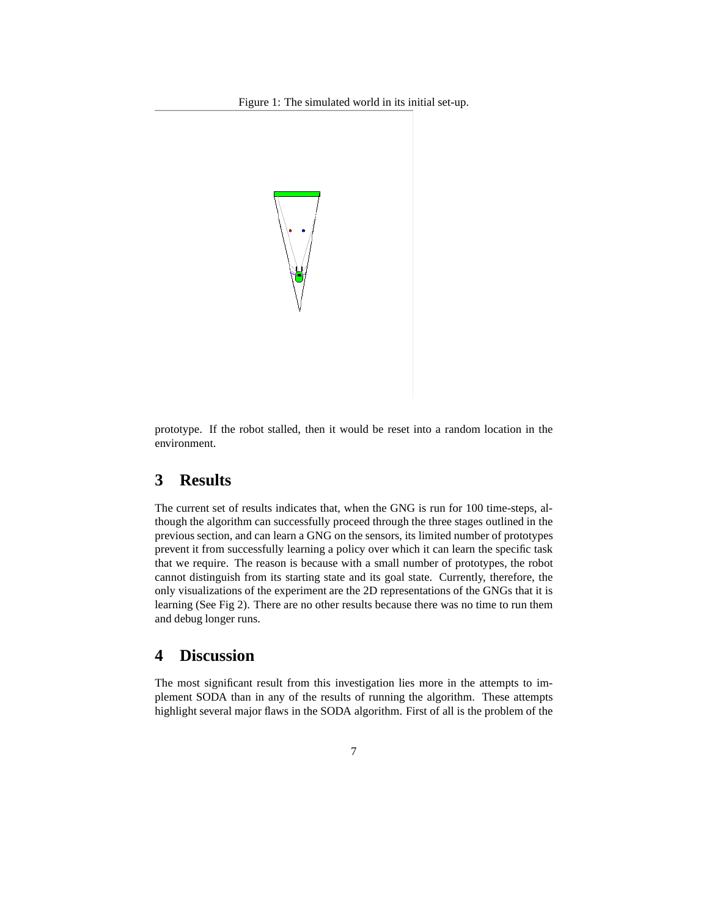Figure 1: The simulated world in its initial set-up.



prototype. If the robot stalled, then it would be reset into a random location in the environment.

# **3 Results**

The current set of results indicates that, when the GNG is run for 100 time-steps, although the algorithm can successfully proceed through the three stages outlined in the previous section, and can learn a GNG on the sensors, its limited number of prototypes prevent it from successfully learning a policy over which it can learn the specific task that we require. The reason is because with a small number of prototypes, the robot cannot distinguish from its starting state and its goal state. Currently, therefore, the only visualizations of the experiment are the 2D representations of the GNGs that it is learning (See Fig 2). There are no other results because there was no time to run them and debug longer runs.

## **4 Discussion**

The most significant result from this investigation lies more in the attempts to implement SODA than in any of the results of running the algorithm. These attempts highlight several major flaws in the SODA algorithm. First of all is the problem of the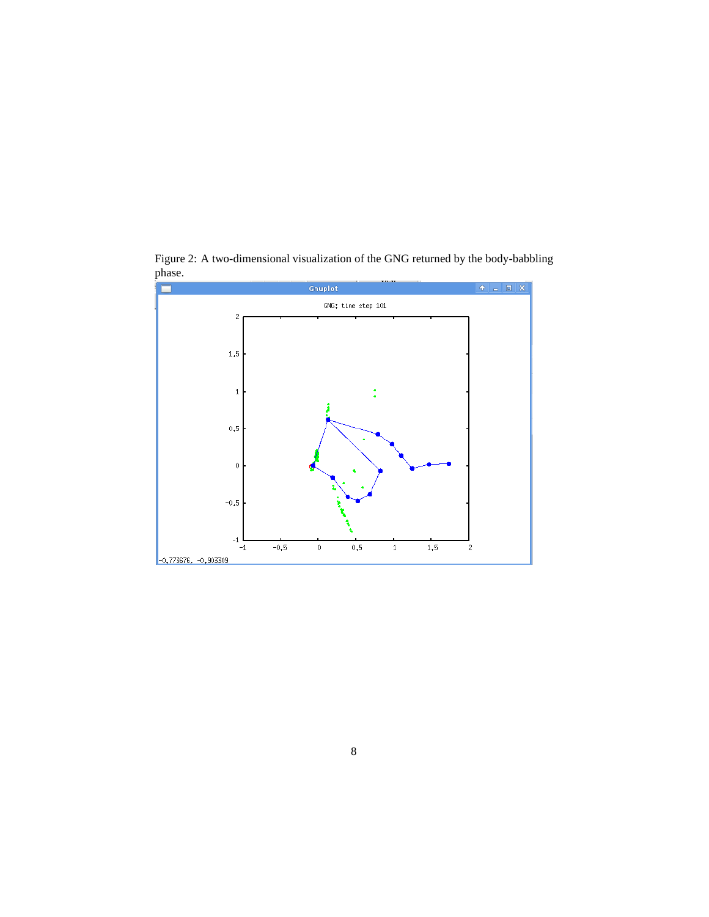

Figure 2: A two-dimensional visualization of the GNG returned by the body-babbling phase.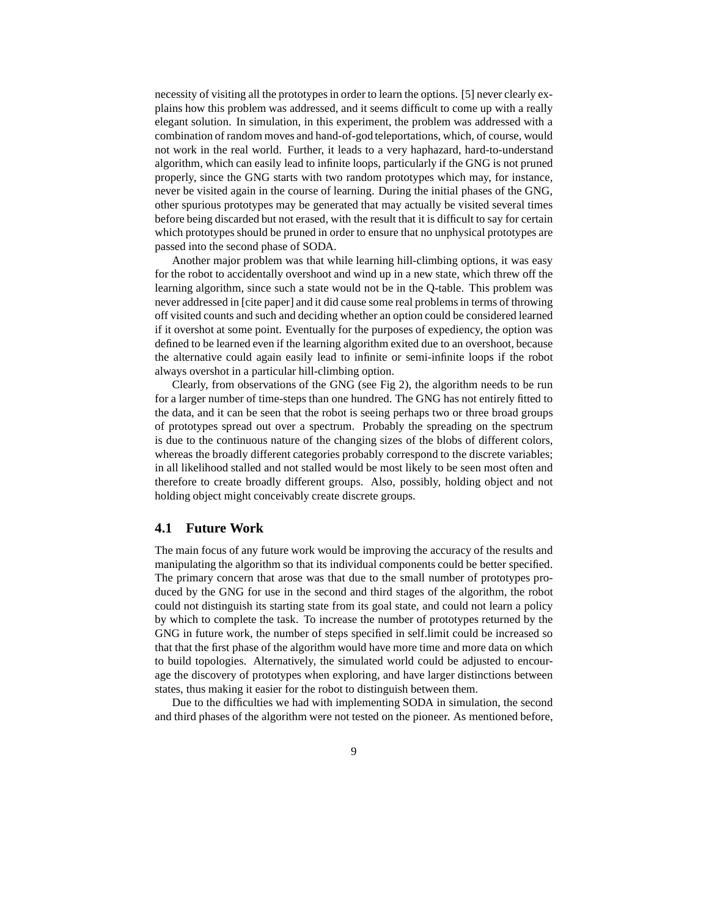necessity of visiting all the prototypes in order to learn the options. [5] never clearly explains how this problem was addressed, and it seems difficult to come up with a really elegant solution. In simulation, in this experiment, the problem was addressed with a combination of random moves and hand-of-god teleportations, which, of course, would not work in the real world. Further, it leads to a very haphazard, hard-to-understand algorithm, which can easily lead to infinite loops, particularly if the GNG is not pruned properly, since the GNG starts with two random prototypes which may, for instance, never be visited again in the course of learning. During the initial phases of the GNG, other spurious prototypes may be generated that may actually be visited several times before being discarded but not erased, with the result that it is difficult to say for certain which prototypes should be pruned in order to ensure that no unphysical prototypes are passed into the second phase of SODA.

Another major problem was that while learning hill-climbing options, it was easy for the robot to accidentally overshoot and wind up in a new state, which threw off the learning algorithm, since such a state would not be in the Q-table. This problem was never addressed in [cite paper] and it did cause some real problems in terms of throwing off visited counts and such and deciding whether an option could be considered learned if it overshot at some point. Eventually for the purposes of expediency, the option was defined to be learned even if the learning algorithm exited due to an overshoot, because the alternative could again easily lead to infinite or semi-infinite loops if the robot always overshot in a particular hill-climbing option.

Clearly, from observations of the GNG (see Fig 2), the algorithm needs to be run for a larger number of time-steps than one hundred. The GNG has not entirely fitted to the data, and it can be seen that the robot is seeing perhaps two or three broad groups of prototypes spread out over a spectrum. Probably the spreading on the spectrum is due to the continuous nature of the changing sizes of the blobs of different colors, whereas the broadly different categories probably correspond to the discrete variables; in all likelihood stalled and not stalled would be most likely to be seen most often and therefore to create broadly different groups. Also, possibly, holding object and not holding object might conceivably create discrete groups.

### **4.1 Future Work**

The main focus of any future work would be improving the accuracy of the results and manipulating the algorithm so that its individual components could be better specified. The primary concern that arose was that due to the small number of prototypes produced by the GNG for use in the second and third stages of the algorithm, the robot could not distinguish its starting state from its goal state, and could not learn a policy by which to complete the task. To increase the number of prototypes returned by the GNG in future work, the number of steps specified in self.limit could be increased so that that the first phase of the algorithm would have more time and more data on which to build topologies. Alternatively, the simulated world could be adjusted to encourage the discovery of prototypes when exploring, and have larger distinctions between states, thus making it easier for the robot to distinguish between them.

Due to the difficulties we had with implementing SODA in simulation, the second and third phases of the algorithm were not tested on the pioneer. As mentioned before,